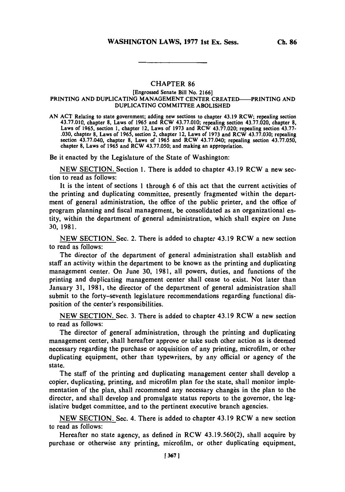## **CHAPTER 86**

## [Engrossed Senate Bill No. **2166]** PRINTING **AND** DUPLICATING **MANAGEMENT CENTER** CREATED-PRINTING **AND DUPLICATING** COMMITTEE **ABOLISHED**

**AN ACT** Relating to state government; adding new sections to chapter 43.19 RCW; repealing section **43.77.010,** chapter **8,** Laws of **1965** and RCW **43.77.010;** repealing section **43.77.020,** chapter **8,** Laws of **1965,** section **1,** chapter 12, Laws of **1973** and RCW **43.77.020;** repealing section **43.77- .030,** chapter **8,** Laws of **1965,** section 2, chapter 12, Laws of **1973** and RCW **43.77.030;** repealing section 43.77.040, chapter **8,** Laws of **1965** and RCW 43.77.040; repealing section **43.77.050,** chapter **8,** Laws of **1965** and RCW **43.77.050;** and making an appropriation.

Be it enacted **by** the Legislature of the State of Washington:

**NEW SECTION.** Section **1.** There is added to chapter 43.19 RCW a new section to read as follows:

It is the intent of sections 1 through **6** of this act that the current activities of the printing and duplicating committee, presently fragmented within the depart-; ment of general administration, the office of the public printer, and the office of program planning and fiscal management, be consolidated as an organizational entity, within the department of general administration, which shall expire on June **30, 1981.**

**NEW SECTION.** Sec. 2. There is added to chapter 43.19 RCW a new section to read as follows:

The director of the department of general administration shall establish and staff an activity within the department to be known as the printing and duplicating management center. On June **30, 198 1,** all powers, duties, and functions of the printing and duplicating management center shall cease to exist. Not later than January **31, 1981,** the director of the department of general administration shall submit to the forty-seventh legislature recommendations regarding functional disposition of the center's responsibilities.

**NEW SECTION.** Sec. **3.** There is added to chapter 43.19 RCW a new section to read as follows:

The director of general' administration, through the printing and duplicating management center, shall hereafter approve or take such other action as is deemed necessary regarding the purchase or acquisition of any printing, microfilm, or other duplicating equipment, other than typewriters, **by** any official or agency of the state.

The staff of the printing and duplicating management center shall develop a copier, duplicating, printing, and microfilm plan for the state, shall monitor implementation of the plan, shall recommend any necessary changes in the plan to the director, and shall develop and promulgate status reports to the governor, the legislative budget committee, and to the pertinent executive branch agencies.

**NEW** SECTION. Sec. 4. There is added to chapter 43.19 RCW a new section to read as follows:

Hereafter no state agency, as defined in RCW **43.19.560(2),** shall acquire **by** purchase or otherwise any printing, microfilm, or other duplicating equipment,